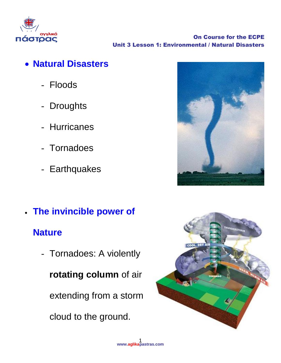

On Course for the ECPE Unit 3 Lesson 1: Environmental / Natural Disasters

- **Natural Disasters**
	- Floods
	- Droughts
	- Hurricanes
	- Tornadoes
	- Earthquakes

**Nature**

**The invincible power of** 

- Tornadoes: A violently

**rotating column** of air

extending from a storm

cloud to the ground.



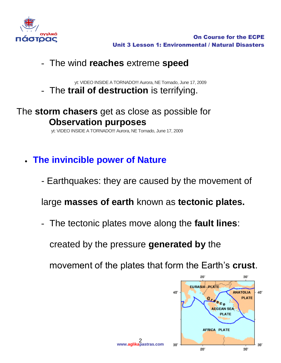

## - The wind **reaches** extreme **speed**

yt: VIDEO INSIDE A TORNADO!!! Aurora, NE Tornado, June 17, 2009 - The **trail of destruction** is terrifying.

## The **storm chasers** get as close as possible for **Observation purposes**

yt: VIDEO INSIDE A TORNADO!!! Aurora, NE Tornado, June 17, 2009

- **The invincible power of Nature**
	- Earthquakes: they are caused by the movement of

large **masses of earth** known as **tectonic plates.**

- The tectonic plates move along the **fault lines**:

created by the pressure **generated by** the

movement of the plates that form the Earth's **crust**.

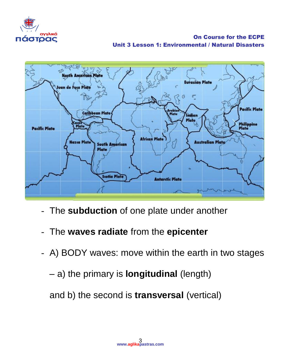![](_page_2_Picture_0.jpeg)

On Course for the ECPE Unit 3 Lesson 1: Environmental / Natural Disasters

![](_page_2_Picture_2.jpeg)

- The **subduction** of one plate under another
- The **waves radiate** from the **epicenter**
- A) BODY waves: move within the earth in two stages
	- a) the primary is **longitudinal** (length)

and b) the second is **transversal** (vertical)